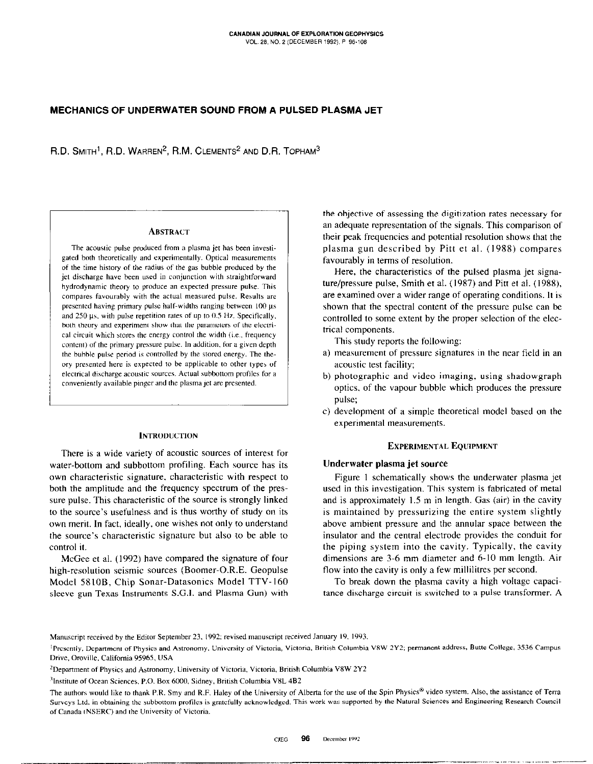## MECHANICS OF UNDERWATER SOUND FROM A PULSED PLASMA JET

R.D. SMITH<sup>1</sup>, R.D. WARREN<sup>2</sup>, R.M. CLEMENTS<sup>2</sup> AND D.R. TOPHAM<sup>3</sup>

#### **ABSTRACT**

The acoustic pulse produced from a plasma jet has been investigated both theoretically and experimentally. Optical measurements of the time history of the radius of the gas bubble produced by the jet discharge have been used in conjunction with straightforward hydrodynamic theory to produce an expected pressure pulse. This compares favourably with the actual measured pulse. Results are presented having primary pulse half-widths ranging between 100 µs and  $250 \,\mu s$ , with pulse repetition rates of up to 0.5 Hz. Specifically, both theory and experiment show that the parameters of the electrical circuit which stores the energy control the width (i.e., frequency content) of the primary pressure pulse. In addition. for a given deplh the bubble pulse period is controlled by the stored energy. The theory presented here is expected to be applicable to other types of electrical discharge acoustic sources. Actual subbottom profiles for a conveniently available pinger and the plasma jet are presented.

#### **INTRODUCTION**

There is a wide variety of acoustic sources of interest for water-bottom and subbottom profiling. Each source has its own characteristic signature, characteristic with respect to both the amplitude and the frequency spectrum of the pressure pulse. This characteristic of the source is strongly linked to the source's usefulness and is thus worthy of study on its own merit. In fact, ideally, one wishes not only to understand the source's characteristic signature but also to be able to control it.

McGee et al. (1992) have compared the signature of four high-resolution seismic sources (Boomer-O.R.E. Geopulse Model 58108, Chip Sonar-Datasonics Model TTV-I60 sleeve gun-Texas Instruments S.G.I. and Plasma Gun) with

the objective of assessing the digitization rates necessary for an adequate representation of the signals. This comparison of their peak frequencies and potential resolution shows that the plasma gun described by Pitt et al. (1988) compares favourably in terms of resolution.

Here, the characteristics of the pulsed plasma jet signature/pressure pulse, Smith et al. (1987) and Pitt et al. (1988), are examined over a wider range of operating conditions. It is shown that the spectral content of the pressure pulse can be controlled to some extent by the proper selection of the electrical components.

This study reports the following:

- a) measurement of pressure signatures in the near field in an acoustic test facility;
- b) photographic and video imaging, using shadowgraph optics, of the vapour bubble which produces the pressure pulse;
- c) development of a simple theoretical model based on the experimental measurements.

#### EXPERIMENTAL EQUIPMENT

## Underwater plasma jet source

Figure I schematically shows the underwater plasma jet used in this investigation. This system is fabricated of metal and is approximately I.5 m in length. Gas (air) in the cavity is maintained by pressurizing the entire system slightly above ambient pressure and the annular space between the insulator and the central electrode provides the conduit for the piping system into the cavity. Typically, the cavity dimensions are 3-6 mm diameter and 6-10 mm length. Air flow into the cavity is only a few millilitres per second.

To break down the plasma cavity a high voltage capacitance discharge circuit is switched to a pulse transformer. A

Manuscript received by the Ediror September 23. 1992: revised manuscript received January 19. 1993.

<sup>&</sup>lt;sup>1</sup>Presently, Department of Physics and Astronomy, University of Victoria, Victoria, British Columbia V8W 2Y2; permanent address, Butte College, 3536 Campus Drive. Oroville. California 95965. USA

<sup>&</sup>lt;sup>2</sup>Department of Physics and Astronomy, University of Victoria, Victoria, British Columbia V8W 2Y2

<sup>&</sup>lt;sup>3</sup>Institute of Ocean Sciences, P.O. Box 6000, Sidney, British Columbia V8L 4B2

The authors would like to thank P.R. Smy and R.F. Haley of the University of Alberta for the use of the Spin Physics® video system. Also, the assistance of Terra Surveys Ltd. in obtaining the subbottom profiles is gratefully acknowledged. This work was supported by the Natural Sciences and Engineering Research Council of Canada (NSERC) and the University of Victoria.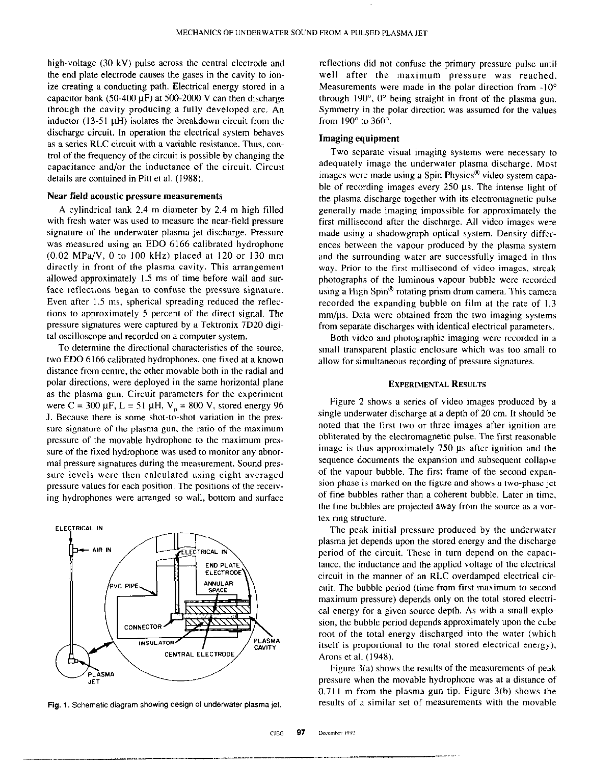high-voltage (30 kV) pulse across the central electrode and the end plate electrode causes the gases in the cavity to ionize creating a conducting path. Electrical energy stored in a capacitor bank (50-400  $\mu$ F) at 500-2000 V can then discharge through the cavity producing a fully developed arc. An inductor (13-51  $\mu$ H) isolates the breakdown circuit from the discharge circuit. In operation the electrical system behaves as a series RLC circuit with a variable resistance. Thus, control of the frequency of the circuit is possible by changing the capacitance and/or the inductance of the circuit. Circuit details are contained in Pitt et al. (1988).

# Near field acoustic pressure measurements

A cylindrical tank 2.4 m diameter by 2.4 m high filled with fresh water was used to measure the near-field pressure signature of the underwater plasma jet discharge. Pressure was measured using an ED0 6166 calibrated hydrophone  $(0.02 \text{ MPa/V}, 0 \text{ to } 100 \text{ kHz})$  placed at 120 or 130 mm directly in front of the plasma cavity. This arrangement allowed approximately I.5 ms of time before wall and surface reflections began to confuse the pressure signature. Even after 1.5 ms, spherical spreading reduced the reflections to approximately 5 percent of the direct signal. The pressure signatures were captured by a Tektronix 7D20 digital oscilloscope and recorded on a computer system.

To determine the directional characteristics of the source, two ED0 6166 calibrated hydrophones, one fixed at a known distance from centre, the other movable both in the radial and polar directions, were deployed in the same horizontal plane as the plasma gun. Circuit parameters for the experiment were C = 300  $\mu$ F, L = 51  $\mu$ H, V<sub>0</sub> = 800 V, stored energy 96 J. Because there is some shot-to-shot variation in the pressure signature of the plasma gun, the ratio of the maximum pressure of the movable hydrophone to the maximum pressure of the fixed hydrophone was used to monitor any abnormal pressure signatures during the measurement. Sound pressure levels were then calculated using eight averaged pressure values for each position. The positions of the receiving hydrophones were arranged so wall, bottom and surface



Fig. 1. Schematic diagram showing design of underwater plasma jet.

-\_~\_ \_\_\_., -..,--.~-

reflections did not confuse the primary pressure pulse until well after the maximum pressure was reached. Measurements were made in the polar direction from  $-10^{\circ}$ through  $190^\circ$ ,  $0^\circ$  being straight in front of the plasma gun. Symmetry in the polar direction was assumed for the values from  $190^\circ$  to  $360^\circ$ .

# Imaging equipment

Two separate visual imaging systems were necessary to adequately image the underwater plasma discharge. Most images were made using a Spin Physics<sup>®</sup> video system capable of recording images every  $250 \mu s$ . The intense light of the plasma discharge together with its electromagnetic pulse generally made imaging impossible for approximately the first millisecond after the discharge. All video images were made using a shadowgraph optical system. Density differences between the vapour produced by the plasma system and the surrounding water are successfully imaged in this way. Prior to the first millisecond of video images, streak photographs of the luminous vapour bubble were recorded using a High Spin<sup>®</sup> rotating prism drum camera. This camera recorded the expanding bubble on film at the rate of I.3  $mm/µs$ . Data were obtained from the two imaging systems from separate discharges with identical electrical parameters.

Both video and photographic imaging were recorded in a small transparent plastic enclosure which was too small to allow for simultaneous recording of pressure signatures.

#### EXPERIMENTAL RESULTS

Figure 2 shows a series of video images produced by a single underwater discharge at a depth of 20 cm. It should be noted that the first two or three images after ignition are obliterated by the electromagnetic pulse. The first reasonable image is thus approximately 750 us after ignition and the sequence documents the expansion and subsequent collapse of the vapour bubble. The first frame of the second expansion phase is marked on the figure and shows a two-phase jet of fine bubbles rather than a coherent bubble. Later in time, the fine bubbles are projected away from the source as a vortex ring structure.

The peak initial pressure produced by the underwater plasma jet depends upon the stored energy and the discharge period of the circuit. These in turn depend on the capacitance, the inductance and the applied voltage of the electrical circuit in the manner of an RLC overdamped electrical circuit. The bubble period (time from first maximum to second maximum pressure) depends only on the total stored electrical energy for a given source depth. As with a small explosion, the bubble period depends approximately upon the cube root of the total energy discharged into the water (which itself is proportional to the total stored electrical energy), Arons et al. (1948).

Figure 3(a) shows the results of the measurements of peak pressure when the movable hydrophone was at a distance of  $0.711$  m from the plasma gun tip. Figure  $3(b)$  shows the results of a similar set of measurements with the movable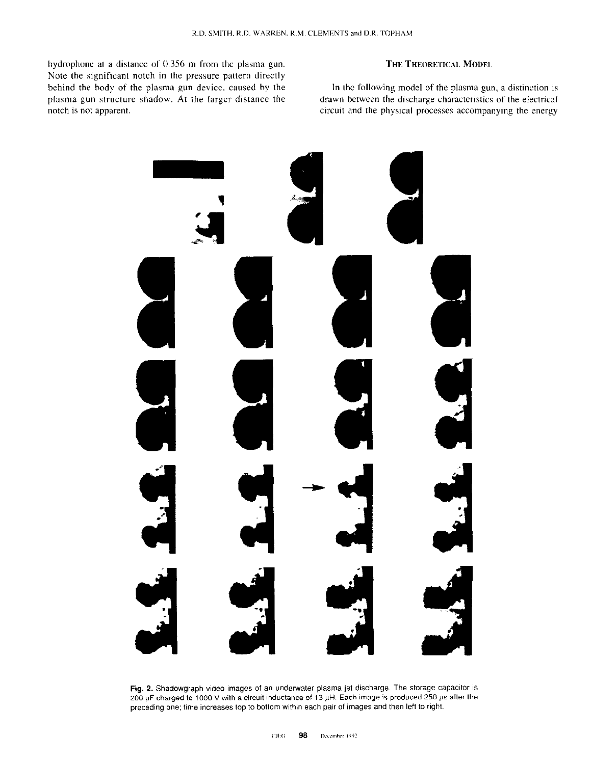hydrophone at a distance of 0.356 m from the plasma gun. Note the significant notch in the pressure pattern directly behind the body of the plasma gun device. caused by the plasma gun structure shadow. At the larger distance the notch is not apparent. The circuit and the physical processes accompanying the energy

# THE THEORETICAL MODEL

In the following model of the plasma gun. a distinction is drawn between the discharge characteristics of the electrical



Fig. 2. Shadowgraph video images of an underwater plasma jet discharge. The storage capacitor is 200 µF charged to 1000 V with a circuit inductance of 13 µH. Each image is produced 250 µs after the preceding one; time increases top to bottom within each pair of images and then left to right.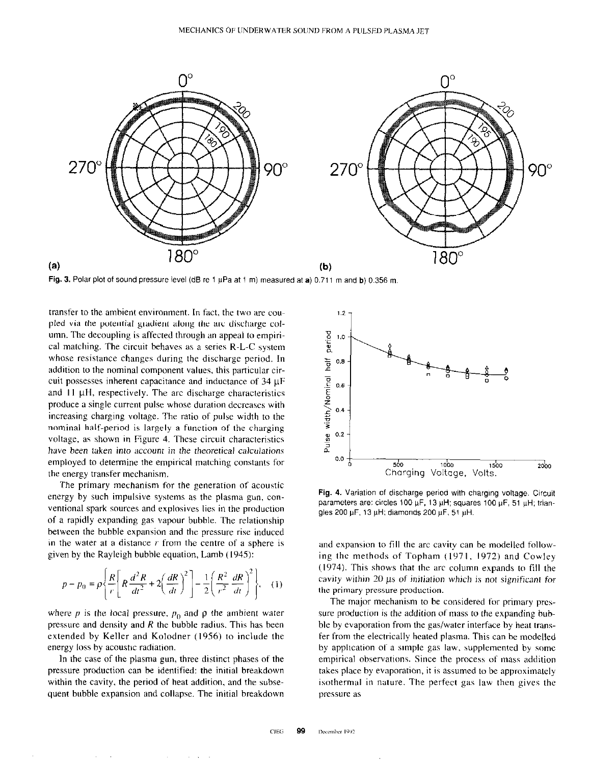

Fig. 3. Polar plot of sound pressure level (dB re 1  $\mu$ Pa at 1 m) measured at a) 0.711 m and b) 0.356 m.

transfer to the ambient environment. In fact, the two are coupled via the potential gradient along the arc discharge column. The decoupling is affected through an appeal to empirical matching. The circuit behaves as a series R-L-C system whose resistance changes during the discharge period. In addition to the nominal component values, this particular circuit possesses inherent capacitance and inductance of  $34 \mu F$ and  $11 \mu$ H, respectively. The arc discharge characteristics produce a single current pulse whose duration decreases with increasing charging voltage. The ratio of pulse width to the nominal half-period is largely a function of the charging voltage, as shown in Figure 4. These circuit characteristics have been taken into account in the theoretical calculations employed to determine the empirical matching constants for the energy transfer mechanism.

The primary mechanism for the generation of acoustic energy by such impulsive systems as the plasma gun, conventional spark sources and explosives lies in the production of a rapidly expanding gas vapour bubble. The relationship between the bubble expansion and the pressure rise induced in the water at a distance  $r$  from the centre of a sphere is given by the Rayleigh bubble equation, Lamb (1945):

$$
p - p_0 = \rho \left\{ \frac{R}{r} \left[ R \frac{d^2 R}{dt^2} + 2 \left( \frac{dR}{dt} \right)^2 \right] - \frac{1}{2} \left( \frac{R^2}{r^2} \frac{dR}{dt} \right)^2 \right\}, \quad (1)
$$

where p is the local pressure,  $p_0$  and  $\rho$  the ambient water pressure and density and  $R$  the bubble radius. This has been extended by Keller and Kolodner (1956) to include the energy loss by acoustic radiation.

In the case of the plasma gun, three distinct phases of the pressure production can be identified: the initial breakdown within the cavity, the period of heat addition, and the subsequent bubble expansion and collapse. The initial breakdown



Fig. 4. Variation of discharge period with charging voltage. Circuit parameters are: circles 100  $\mu$ F, 13  $\mu$ H; squares 100  $\mu$ F, 51  $\mu$ H; triangles 200  $\mu$ F, 13  $\mu$ H; diamonds 200  $\mu$ F, 51  $\mu$ H.

and expansion to fill the arc cavity can be modelled following the methods of Topham (1971, 1972) and Cowley  $(1974)$ . This shows that the arc column expands to fill the cavity within 20 us of initiation which is not significant for the primary pressure production.

The major mechanism to be considered for primary prcssure production is the addition of mass to the expanding buhble by evaporation from the gas/water interface by heat transfer from the electrically heated plasma. This can be modelled by application of a simple gas law, supplemented by some empirical observations. Since the process of mass addition takes place by evaporation. it is assumed to be approximately isothermal in nature. The perfect gas law then gives the pressure as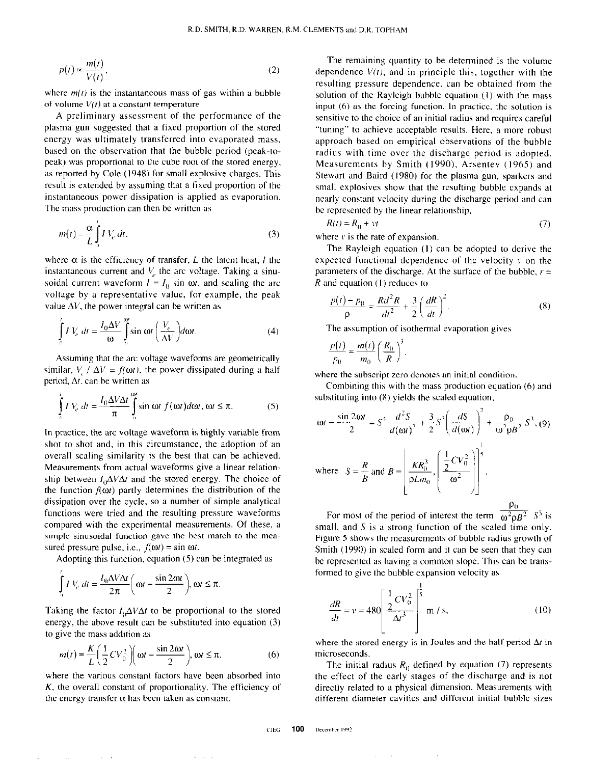$$
p(t) \propto \frac{m(t)}{V(t)},\tag{2}
$$

where  $m(t)$  is the instantaneous mass of gas within a bubble of volume  $V(t)$  at a constant temperature.

A preliminary assessment of the performance of the plasma gun suggested that a fixed proportion of the stored energy was ultimately transferred into evaporated mass, based on the observation that the bubble period (peak-topeak) was proportional to the cube root of the stored energy. as reported by Cole (1948) for small explosive charges. This result is extended by assuming that a fixed proportion of the instantaneous power dissipation is applied as evaporation. The mass production can then be written as

$$
m(t) = \frac{\alpha}{L} \int_{0}^{L} I V_e \, dt,\tag{3}
$$

where  $\alpha$  is the efficiency of transfer, L the latent heat, I the instantaneous current and  $V_a$  the arc voltage. Taking a sinusoidal current waveform  $I = I_0$  sin  $\omega t$ , and scaling the arc voltage by a representative value, for example. the peak value  $\Delta V$ , the power integral can be written as

$$
\int_{0}^{t} I V_e dt = \frac{I_0 \Delta V}{\omega} \int_{0}^{\omega} \sin \omega t \left( \frac{V_e}{\Delta V} \right) d\omega t.
$$
 (4)

Assuming that the arc voltage waveforms are geometrically similar,  $V_c / \Delta V = f(\omega t)$ , the power dissipated during a half period,  $\Delta t$ . can be written as

$$
\int_{0}^{t} I V_{e} dt = \frac{I_{0} \Delta V \Delta t}{\pi} \int_{0}^{\omega t} \sin \omega t f(\omega t) d\omega t, \omega t \le \pi.
$$
 (5)

In practice, the arc voltage waveform is highly variable from shot to shot and, in this circumstance, the adoption of an overall scaling similarity is the best that can be achieved. Measurements from actual waveforms give a linear relationship between  $I_0\Delta V\Delta t$  and the stored energy. The choice of the function  $f(\omega t)$  partly determines the distribution of the dissipation over the cycle, so a number of simple analytical functions were tried and the resulting pressure waveforms compared with the experimental measurements. Of these, a simple sinusoidal function gave the best match to the measured pressure pulse, i.e.,  $f(\omega t) = \sin \omega t$ .

Adopting this function, equation (5) can be integrated as

$$
\int_{0}^{1} IV_c \, dt = \frac{I_0 \Delta V \Delta t}{2\pi} \left( \omega t - \frac{\sin 2\omega t}{2} \right), \omega t \le \pi.
$$

Taking the factor  $I_0\Delta V\Delta t$  to be proportional to the stored energy, the above result can be substituted into equation (3) to give the mass addition as

$$
m(t) = \frac{K}{L} \left( \frac{1}{2} C V_0^2 \right) \left( \omega t - \frac{\sin 2\omega t}{2} \right), \omega t \le \pi,
$$
 (6)

where the various constant factors have been absorbed into K, the overall constant of proportionality. The efficiency of the energy transfer  $\alpha$  has been taken as constant.

The remaining quantity to be determined is the volume dependence  $V(t)$ , and in principle this, together with the resulting pressure dependence. can be obtained from the solution of the Rayleigh bubble equation (I) with the mass input (6) as the forcing function. In practice, the solution is sensitive to the choice of an initial radius and requires careful "tuning" to achieve acceptable results. Here, a more robust approach based on empirical observations of the bubble radius with time over the discharge period is adopted. Measurements by Smith (1990), Arsentev (1965) and Stewart and Baird (1980) for the plasma gun, sparkers and small explosives show that the resulting bubble expands at nearly constant velocity during the discharge period and can be represented by the linear relationship,

$$
R(t) = R_0 + vt \tag{7}
$$

where  $\bf{v}$  is the rate of expansion.

The Rayleigh equation (1) can be adopted to derive the expected functional dependence of the velocity  $y$  on the parameters of the discharge. At the surface of the bubble,  $r =$ R and equation (I) reduces ro

$$
\frac{p(t) - p_0}{\rho} = \frac{R d^2 R}{dt^2} + \frac{3}{2} \left(\frac{dR}{dt}\right)^2.
$$
 (8)

The assumption of isothermal evaporation gives

$$
\frac{p(t)}{p_0} = \frac{m(t)}{m_0} \left(\frac{R_0}{R}\right)^3,
$$

where the subscript zero denotes an initial condition.

Combining this with the mass production equation (6) and substituting into (8) yields the scaled equation,

$$
\omega t - \frac{\sin 2\omega t}{2} = S^4 \frac{d^2 S}{d(\omega t)^2} + \frac{3}{2} S^3 \left(\frac{dS}{d(\omega t)}\right)^2 + \frac{\rho_0}{\omega^2 \rho B^2} S^3
$$
 (9)  
where  $S = \frac{R}{B}$  and  $B = \left[\frac{KR_0^3}{\rho L m_0}, \left(\frac{\frac{1}{2}CV_0^2}{\omega^2}\right)\right]^5$ .

For most of the period of interest the term  $\sqrt{\omega^2 \Omega^2}$   $S^3$  is small, and  $S$  is a strong function of the scaled time only. Figure 5 shows the measurements of bubble radius growth of Smith (1990) in scaled form and it can be seen that they can be represented as having a common slope. This can be trans. formed to give the bubble expansion velocity as

$$
\frac{dR}{dt} = v = 480 \left[ \frac{1}{2} \frac{CV_0^2}{\Delta t^3} \right]^{\frac{1}{5}} \text{ m / s},
$$
 (10)

where the stored energy is in Joules and the half period  $\Delta t$  in microseconds.

The initial radius  $R_0$  defined by equation (7) represents the effect of the early stages of the discharge and is not directly related to a physical dimension. Measurements with different diameter cavities and different initial bubble sizes

 $\sim$ 

 $\sim$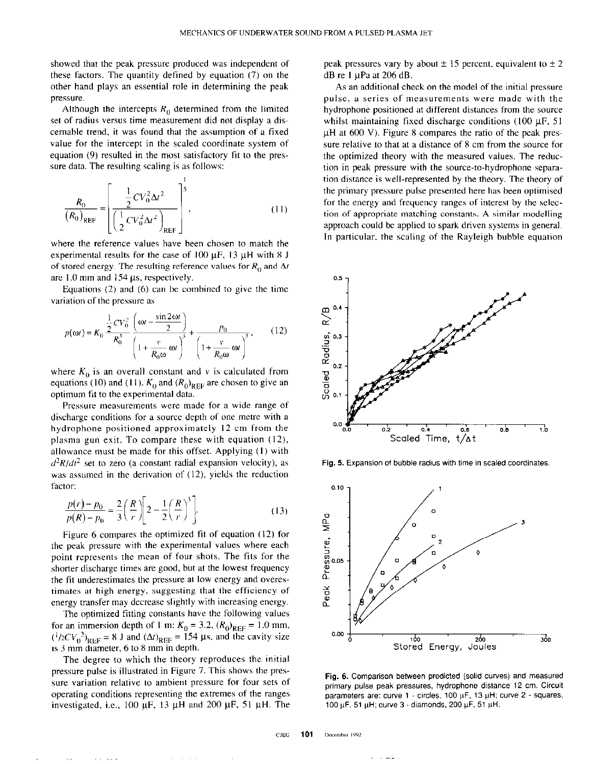showed that the peak pressure produced was independent of these factors. The quantity defined by equation (7) on the other hand plays an essential role in determining the peak pressure.

Although the intercepts  $R_0$  determined from the limited set of radius versus time measurement did not display a discernable trend, it was found that the assumption of a fixed value for the intercept in the scaled coordinate system of equation (9) resulted in the most satisfactory fit to the pressure data. The resulting scaling is as follows:

$$
\frac{R_0}{(R_0)_{\text{REF}}} = \left[ \frac{\frac{1}{2}CV_0^2 \Delta t^2}{\left(\frac{1}{2}CV_0^2 \Delta t^2\right)_{\text{REF}}} \right]^5,
$$
\n(11)

where the reference values have been chosen to match the experimental results for the case of  $100 \mu$ F, 13  $\mu$ H with 8 J of stored energy. The resulting reference values for  $R_0$  and  $\Delta t$ are 1.0 mm and  $154 \mu s$ , respectively.

Equations (2) and (6) can be combined to give the time variation of the pressure as

$$
p(\omega t) = K_0 \frac{\frac{1}{2}CV_0^2}{R_0^3} \frac{\left(\omega t - \frac{\sin 2\omega t}{2}\right)}{\left(1 + \frac{v}{R_0 \omega} \omega t\right)^3} + \frac{p_0}{\left(1 + \frac{v}{R_0 \omega} \omega t\right)^3},\qquad(12)
$$

where  $K_0$  is an overall constant and v is calculated from equations (10) and (11).  $K_0$  and  $(R_0)_{REF}$  are chosen to give an optimum tit to the experimental data.

Pressure measurements were made for a wide range of discharge conditions for a source depth of one metre with a hydrophone positioned approximately I2 cm from the plasma gun exit. To compare these with equation (12). allowance must be made for this offset. Applying (I) with  $d^2R/dt^2$  set to zero (a constant radial expansion velocity), as was assumed in the derivation of  $(12)$ , yields the reduction factor:

$$
\frac{p(r) - p_0}{p(R) - p_0} = \frac{2}{3} \left(\frac{R}{r}\right) \left[2 - \frac{1}{2} \left(\frac{R}{r}\right)^3\right].
$$
 (13)

Figure 6 compares the optimized fit of equation (12) for the peak pressure with the experimental values where each point represents the mean of four shots. The fits for the shorter discharge times are good, but at the lowest frequency the fit underestimates the pressure at low energy and overestimates at high energy, suggesting that the efficiency of energy transfer may decrease slightly with increasing energy.

The optimized fitting constants have the following values for an immersion depth of 1 m:  $K_0 = 3.2$ ,  $(R_0)_{REF} = 1.0$  mm,  $({}^{1}/2CV_{0}^{2})_{\text{PEE}} = 8$  J and  $(\Delta t)_{\text{REE}} = 154$  µs, and the cavity size is 3 mm diameter, 6 to 8 mm in depth.

The degree to which the theory reproduces the initial pressure pulse is illustrated in Figure 7. This shows the pressure variation relative to ambient pressure for four sets of operating conditions representing the extremes of the ranges investigated, i.e., 100  $\mu$ F, 13  $\mu$ H and 200  $\mu$ F, 51  $\mu$ H. The peak pressures vary by about  $\pm$  15 percent, equivalent to  $\pm$  2  $dB$  re 1  $\mu$ Pa at 206 dB.

As an additional check on the model of the initial pressure pulse, a series of measurements were made with the hydrophone positioned at different distances from the source whilst maintaining fixed discharge conditions  $(100 \mu F, 51)$  $\mu$ H at 600 V). Figure 8 compares the ratio of the peak pressure relative to that at a distance of 8 cm from the source for the optimized theory with the measured values. The reduction in peak pressure with the source-to-hydrophone separation distance is well-represented by the theory. The theory of the primary pressure pulse presented here has been optimised for the energy and frequency ranges of interest by the selection of appropriate matching constants. A similar modelling approach could be applied to spark driven systems in general. In particular. the scaling of the Rayleigh bubble equation



Fig. 5. Expansion of bubble radius with time in scaled coordinates.



Fig. 6. Comparison between predicted (solid curves) and measured primary pulse peak pressures, hydrophone distance 12 cm. Circuit parameters are: curve  $1$  - circles, 100  $\mu$ F, 13  $\mu$ H; curve 2 - squares, 100 μF, 51 μH; curve  $3$  - diamonds, 200 μF, 51 μH.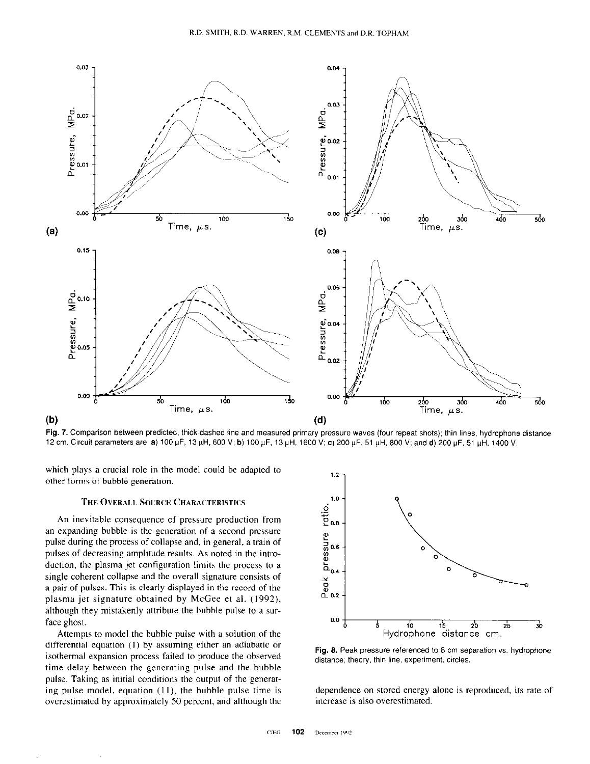

Fig. 7. Comparison between predicted, thick-dashed line and measured primary pressure waves (four repeat shots); thin lines, hydrophone distance 12 cm. Circuit parameters are: a) 100 μF, 13 μH, 600 V; b) 100 μF, 13 μH, 1600 V; c) 200 μF, 51 μH, 800 V; and d) 200 μF, 51 μH, 1400 V.

which plays a crucial role in the model could be adapted to other forms of bubble generation.

### THE OVERALL SOURCE CHARACTERISTICS

An inevitable consequence of pressure production from an expanding bubble is the generation of a second pressure pulse during the process of collapse and, in general, a train of pulses of decreasing amplitude results. As noted in the introduction, the plasma jet configuration limits the process to a single coherent collapse and the overall signature consists of a pair of pulses. This is clearly displayed in the record of the plasma jet signature obtained by McGee et al. (1992), although they mistakenly attribute the hubhle pulse to a surface ghost.

Attempts to model the bubble pulse with a solution of the differential equation (I) by assuming either an adiabatic or isothermal expansion process failed to produce the observed time delay between the generating pulse and the bubble pulse. Taking as initial conditions the output of the generating pulse model, equation  $(11)$ , the bubble pulse time is overestimated by approximately SO percent, and although the



Fig. 8. Peak pressure referenced to 8 cm separation vs. hydrophone distance; theory. thin line. experiment. circles.

dependence on stored energy alone is reproduced, its rate of increase is also overestimated.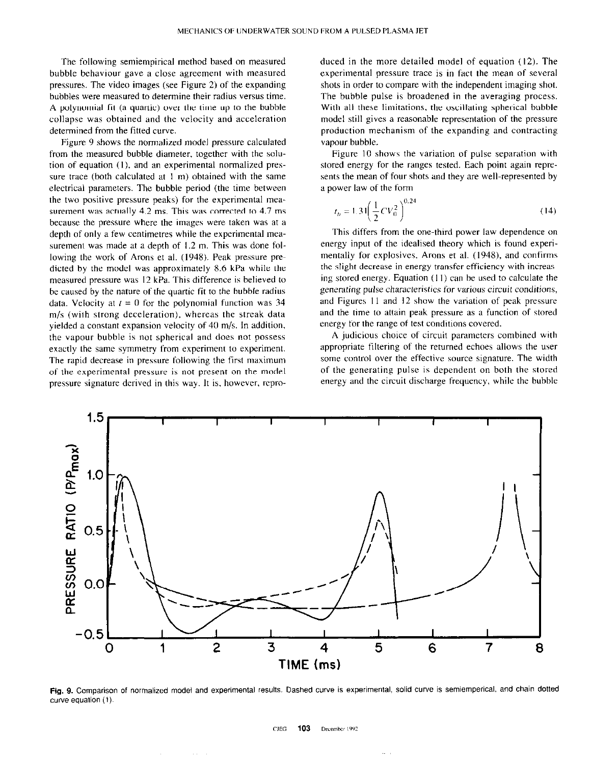The following semiempirical method based on measured bubble behaviour gave a close agreement with measured pressures. The video images (see Figure 2) of the expanding bubbles were measured to determine their radius versus time. A polynomial fit (a quartic) over the time up to the bubble collapse was obtained and the velocity and acceleration determined from the fitted curve.

Figure 9 shows the normalized model pressure calculated from the measured bubble diameter, together with the solution of equation (I), and an experimental normalized pressure trace (both calculated at I m) obtained with the same electrical parameters. The bubble period (the time between the two positive pressure peaks) for the experimental measurement was actually 4.2 ms. This was corrected to 4.7 ms because the pressure where the images were taken was at a depth of only a few centimetres while the experimental measurement was made at a depth of 1.2 m. This was done following the work of Arons et al. (1948). Peak pressure predieted by the model was approximately 8.6 kPa while the measured pressure was I2 kPa. This difference is believed to be caused by the nature of the quartic fit to the bubble radius data. Velocity at  $t = 0$  for the polynomial function was 34 m/s (with strong deceleration), whereas the streak data yielded a constant expansion velocity of 40 m/s. In addition, the vapour bubble is not spherical and does not possess exactly the same symmetry from experiment to experiment. The rapid decrease in pressure following the first maximum of the experimental pressure is not present on the model pressure signature derived in this way. It is. however, reproduced in the more detailed model of equation (12). The experimental pressure trace is in fact the mean of several shots in order to compare with the independent imaging shot. The bubble pulse is broadened in the averaging process. With all these limitations, the oscillating spherical bubble model still gives a reasonable representation of the pressure production mechanism of the expanding and contracting vapour bubble.

Figure IO shows the variation of pulse separation with stored energy for the ranges tested. Each point again reprcsents the mean of four shots and they are well-represented by a power law of the form

$$
t_b = 1.31 \left(\frac{1}{2}CV_0^2\right)^{0.24}
$$
 (14)

This differs from the one-third power law dependence on energy input of the idealised theory which is found experimentally for explosives, Arons et al. (1948). and confirms the slight decrease in energy transfer efficiency with increasing stored energy. Equation  $(11)$  can be used to calculate the generating pulse characteristics for various circuit conditions, and Figures 11 and 12 show the variation of peak pressure and the time to attain peak pressure as a function of stored energy for the range of test conditions covered.

A judicious choice of circuit parameters combined with appropriate filtering of the returned echoes allows the user some control over the effective source signature. The width of the generating pulse is dependent on both the stored energy and the circuit discharge frequency, while the bubble



Fig. 9. Comparison of normalized model and experimental results. Dashed curve is experimental, solid curve is semiemperical. and chain dotted curve equation (I).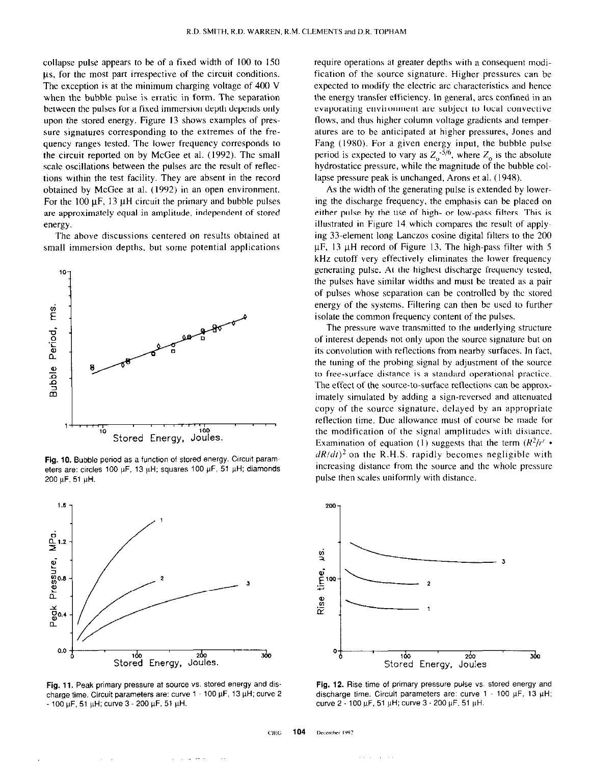collapse pulse appears to be of a fixed width of 100 to I50 us, for the most part irrespective of the circuit conditions. The exception is at the minimum charging voltage of 400 V when the bubble pulse is erratic in form. The separation between the pulses for a fixed immersion depth depends only upon the stored energy. Figure I3 shows examples of pressure signatures corresponding to the extremes of the frequency ranges tested. The lower frequency corresponds to the circuit reported on by McGee et al. (1992). The small scale oscillations between the pulses are the result of reflections within the test facility. They are absent in the record obtained by McGee at al. (1992) in an open environment. For the 100  $\mu$ F, 13  $\mu$ H circuit the primary and bubble pulses are approximately equal in amplitude, independent of stored energy.

The above discussions centered on results obtained at small immersion depths, but some potential applications



Fig. 10. Bubble period as a function of stored energy. Circuit param eters are: circles 100  $\mu$ F, 13  $\mu$ H; squares 100  $\mu$ F, 51  $\mu$ H; diamonds  $200 \mu F$ , 51  $\mu H$ .



Fig. 11. Peak primary pressure at source vs. stored energy and discharge time. Circuit parameters are: curve  $1 - 100 \mu F$ , 13  $\mu H$ ; curve 2  $-$  100  $\mu$ F, 51  $\mu$ H; curve 3 - 200  $\mu$ F, 51  $\mu$ H.

require operations at greater depths with a consequent modification of the source signature. Higher pressures can be expected to modify the electric arc characteristics and hence the energy transfer efficiency. In general. arcs confined in an evaporating environment are subject to local convective flows, and thus higher column voltage gradients and temperatures are to be anticipated at higher pressures, Jones and Fang (1980). For a given energy input, the bubble pulse period is expected to vary as  $Z_0$ <sup>-5/6</sup>, where  $Z_0$  is the absolute hydrostatice pressure, while the magnitude of the bubble collapse pressure peak is unchanged, Arons et al. (194X).

As the width of the generating pulse is extended by lowering the discharge frequency, the emphasis can be placed on either pulse by the use of high- or low-pass filters. This is illustrated in Figure I4 which compares the result of applying 33.element long Lanczos cosine digital filters to the 200  $\mu$ F, 13  $\mu$ H record of Figure 13. The high-pass filter with 5 kHz cutoff very effectively eliminates the lower frequency generating pulse. At the highest discharge frequency tested, the pulses have similar widths and must be treated as a pair of pulses whose separation can be controlled by the stored energy of the systems. Filtering can then be used to further isolate the common frequency content of the pulses.

The pressure wave transmitted to the underlying structure of interest depends not only upon the source signature but on its convolution with reflections from nearby surfaces. In fact, the tuning of the probing signal by adjustment of the source to free-surface distance is a standard operational practice. The effect of the source-to-surface retlections can be approximately simulated by adding a sign-reversed and attenuated copy of the source signature, delayed by an appropriate reflection time. Due allowance must of course be made for the modification of the signal amplitudes with distance. Examination of equation (1) suggests that the term  $(R^2/r^2 \cdot )$  $dR/dt$ <sup>2</sup> on the R.H.S. rapidly becomes negligible with increasing distance from the source and the whole pressure pulse then scales uniformly with distance.



Fig. 12. Rise time of primary pressure pulse vs. stored energy and discharge time. Circuit parameters are: curve  $1 - 100 \mu F$ , 13  $\mu H$ ; curve 2 - 100 µF, 51 µH; curve 3 - 200 µF, 51 µH.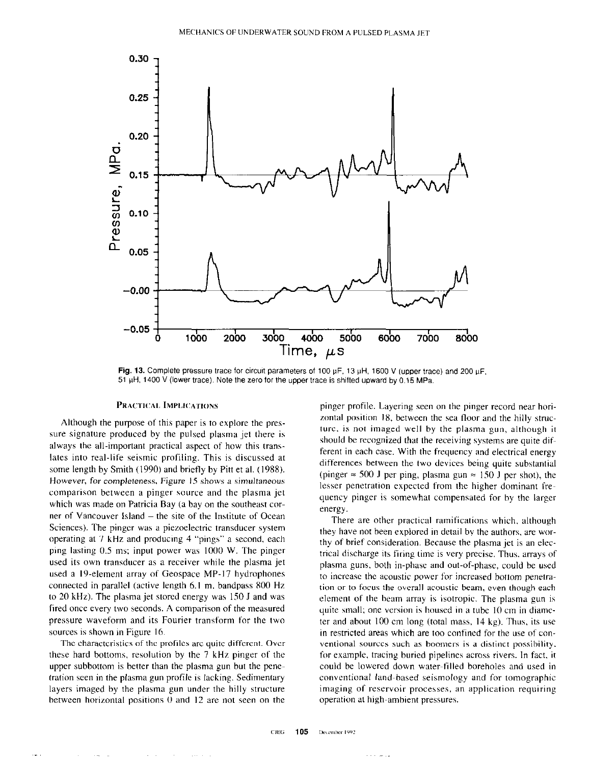

Fig. 13. Complete pressure trace for circuit parameters of 100  $\mu$ F, 13  $\mu$ H, 1600 V (upper trace) and 200  $\mu$ F, 51  $\mu$ H, 1400 V (lower trace). Note the zero for the upper trace is shifted upward by 0.15 MPa.

#### **PRACTICAL IMPLICATIONS**

Although the purpose of this paper is to explore the pressure signature produced hy the pulsed plasma jet there is always the all-important practical aspect of how this trans. lates into real-life seismic profiling. This is discussed at some length by Smith (1990) and briefly by Pitt et al. (1988). However, for completeness, Figure IS shows a simultaneous comparison between a pinger source and the plasma jet which was made on Patricia Bay (a bay on the southeast corner of Vancouver Island – the site of the Institute of Ocean Sciences). The pinger was a piezoelectric transducer system operating at 7 kHz and producing 4 "pings" a second, each ping lasting 0.5 ms; input power was 1000 W. The pinger used its own transducer as a receiver while the plasma jet used a 19-element array of Geospace MP-17 hydrophones connected in parallel (active length 6.1 m, bandpass 800 Hz to 20 kHz). The plasma jet stored energy was 150 J and was fired once every two seconds. A comparison of the measured pressure waveform and its Fourier transform for the two sources is shown in Figure 16.

The characteristics of the profiles are quite different. Over these hard bottoms, resolution by the 7 kHz pinger of the upper subbottom is better than the plasma gun hut the penefration seen in the plasma gun profile is lacking. Sedimentary layers imaged by the plasma gun under the hilly structure between horizontal positions 0 and I2 are not seen on the

 $\mathbf{r} = \mathbf{r}$  .

 $\alpha$  and  $\alpha$  and  $\alpha$ 

pinger profile. Layering seen on the pinger record near horizontal position 18, between the sea floor and the hilly strucrue, is not imaged well by the plasma gun, although it should be recognized that the receiving systems are quite different in each case. With the frequency and electrical energy differences between the two devices being quite substantial (pinger  $\approx$  500 J per ping, plasma gun  $\approx$  150 J per shot), the lesser penetration expected from the higher dominant frequency pinger is somewhat compensated for hy the larger energy.

There are other practical ramifications which. although they have not been explored in detail by the authors, are worthy of brief consideration. Because the plasma jet is an electrical discharge its firing time is very precise. Thus. arrays of plasma guns, both in-phase and out-of-phase, could be used to increase the acoustic power for increased bottom penetration or to focus the overall acoustic beam, even though each element of the beam array is isotropic. The plasma gun is quite small: one version is housed in a tuhc IO cm in diameter and about 100 cm long (total mass, I4 kg). Thus, its use in restricted areas which are too confined for the use of conventional sources such as boomers is a distinct possibility. for example, tracing buried pipelines across rivers. In fact, it could he lowered down water-filled boreholes and used in conventional land-based seismology and for tomographic imaging of reservoir processes, an application requiring operation at high-ambient pressures.

وراسي والانا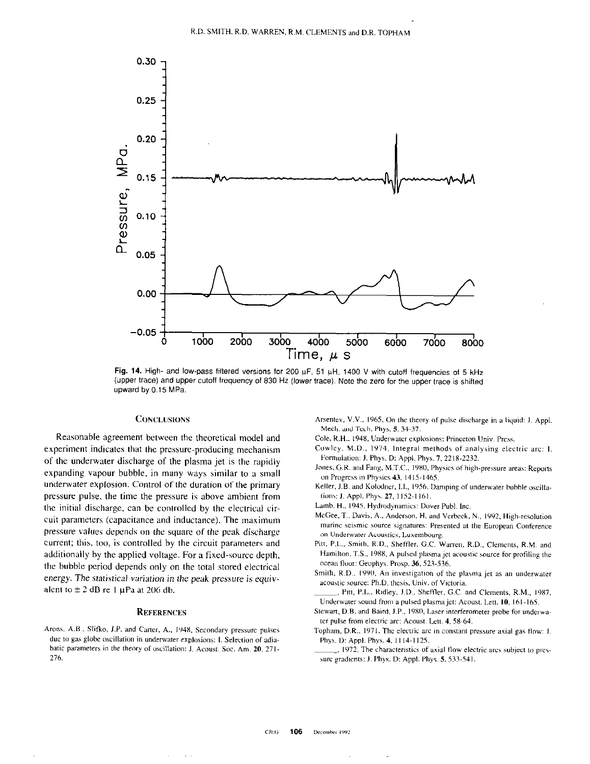

Fig. 14. High- and low-pass filtered versions for 200  $\mu$ F, 51  $\mu$ H, 1400 V with cutoff frequencies of 5 kHz (upper trace) and upper cutoff frequency Of 830 Hz (lower trace). Note the zero for the upper trace is Shifted upward by 0.15 MPa.

Reasonable agreement between the theoretical model and Cole, R.H., 1948. Underwater explosions: Princeton Univ. Press. experiment indicates that the pressure-producing mechanism of the underwater discharge of the plasma jet is the rapidly expanding vapour bubble, in many ways similar to a small underwater explosion. Control of the duration of the primary pressure pulse. the time the pressure is above ambient from the initial discharge, can be controlled by the electrical circuit parameters (capacitance and inductance). The maximum pressure values depends on the square of the peak discharge current; this, too, is controlled by the circuit parameters and additionally by the applied voltage. For a fixed-source depth, the bubble period depends only on the total stored electrical energy. The statistical variation in the peak pressure is equivalent to  $\pm 2$  dB re 1 µPa at 206 db.

## **REFERENCES**

Arons, A.B., Slifko, J.P. and Carter, A., 1948, Secondary pressure pulses due to gas globe oscillation in underwater explosions: I. Selection of adiabatic parameters in the theory of oscillation: J. Acoust. Soc. Am. 20, 271-276.

 $\alpha$  ,  $\alpha$ 

CONCLUSIONS **CONCLUSTONS** Arsentev, V.V., 1965, On the theory of pulse discharge in a liquid: J. Appl. Mech. and Tech. Phys. 5.34-37.

- Cowley, M.D., 1974, Integral methods of analysing electric arc: I. Formulation: J. Phys. D: Appl. Phys. 7, 2218-2232.
- Jones, G.R. and Fang, M.T.C., 1980, Physics of high-pressure areas: Reports on Progress in Physics 43, 1415-1465.
- Keller, J.B. and Kolodner, I.I., 1956, Damping of underwater bubble oscillations: J. Appl. Phys. 27, 1152-1161.
- Lamb. H., 1945. Hydrodynamics: Dover Publ. Inc.
- McGee, T., Davis, A., Anderson, H. and Verbeek, N., 1992, High-resolution marine seismic source signatures: Presented at the European Conference on Underwater Acoustics, Luxembourg.
- Pitt, P.L., Smith. R.D., Sheffler. G.C. Warren, R.D., Clements, R.M. and Hamilton, T.S., 1988, A pulsed plasma jet acoustic source for profiling the ocean floor: Geophys. Prosp. 36, 523-536.
- Smith, R.D.. 1990, An investigation of the plasma jet as an underwater acoustic source: Ph.D. thesis. Univ. of Victoria
- , Pitt, P.L., Ridley, J.D., Sheffler, G.C. and Clements, R.M., 1987, Underwater sound from a pulsed plasma jet: Acoust. Lett. 10, 161-165.
- Stewart, D.B. and Baird, J.P., 1980, Laser interferometer probe for underwater pulse from electric arc: Acoust. Lett. 4, 58-64.
- Topham, D.R., 1971. The electric arc in constant pressure axial gas flow: J. Phys. D: Appl. Phys. 4. 1114-1125.
- . 1972. The characteristics of axial flow electric arcs subject to pressure gradients: J. Phys. D: Appl. Phys. 5.533-541.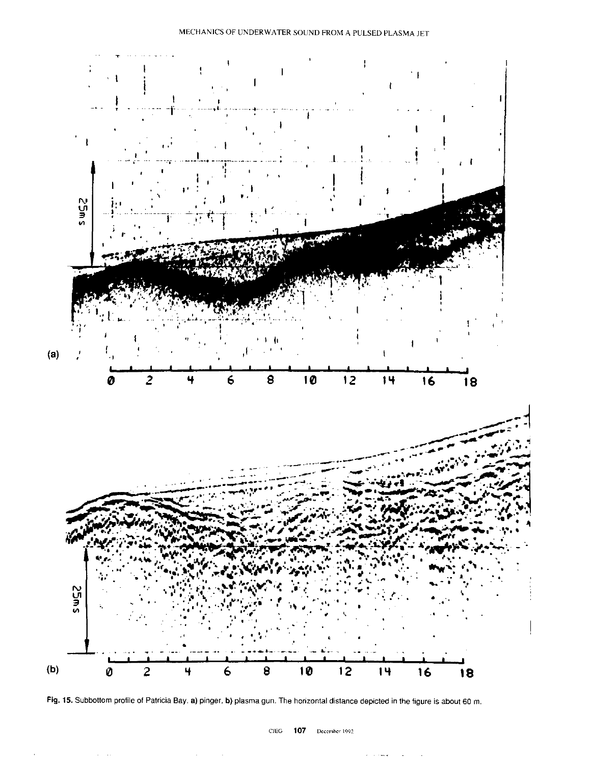



 $\sim$ 

 $\sim$   $\sim$   $\sim$